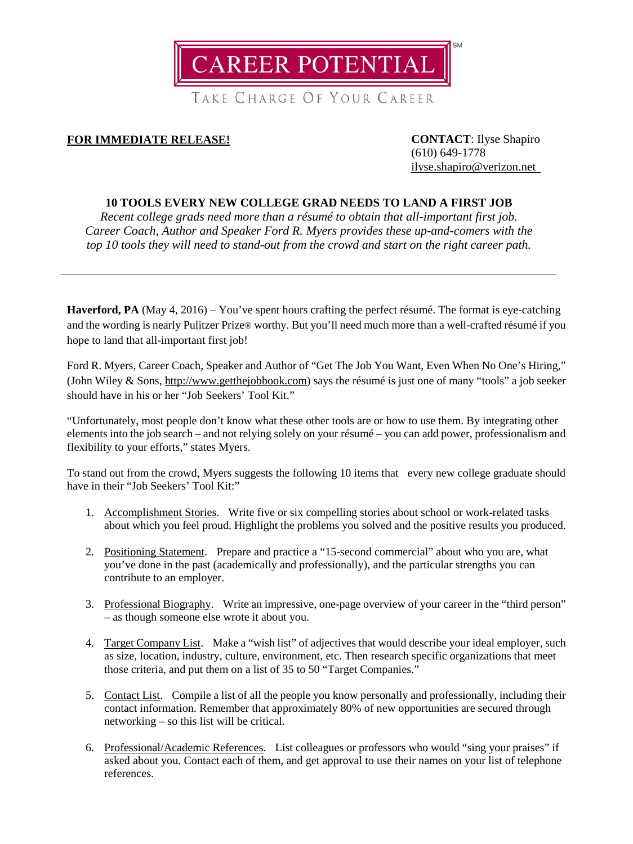

**FOR IMMEDIATE RELEASE! CONTACT**: Ilyse Shapiro

(610) 649-1778 [ilyse.shapiro@verizon.net](mailto:ilyse.shapiro@verizon.net)

# **10 TOOLS EVERY NEW COLLEGE GRAD NEEDS TO LAND A FIRST JOB**

*Recent college grads need more than a résumé to obtain that all-important first job. Career Coach, Author and Speaker Ford R. Myers provides these up-and-comers with the top 10 tools they will need to stand-out from the crowd and start on the right career path.*

**Haverford, PA** (May 4, 2016) – You've spent hours crafting the perfect résumé. The format is eye-catching and the wording is nearly Pulitzer Prize® worthy. But you'll need much more than a well-crafted résumé if you hope to land that all-important first job!

Ford R. Myers, Career Coach, Speaker and Author of "Get The Job You Want, Even When No One's Hiring," (John Wiley & Sons, http://www.getthejobbook.com) says the résumé is just one of many "tools" a job seeker should have in his or her "Job Seekers' Tool Kit."

"Unfortunately, most people don't know what these other tools are or how to use them. By integrating other elements into the job search – and not relying solely on your résumé – you can add power, professionalism and flexibility to your efforts," states Myers.

To stand out from the crowd, Myers suggests the following 10 items that every new college graduate should have in their "Job Seekers' Tool Kit:"

- 1. Accomplishment Stories. Write five or six compelling stories about school or work-related tasks about which you feel proud. Highlight the problems you solved and the positive results you produced.
- 2. Positioning Statement. Prepare and practice a "15-second commercial" about who you are, what you've done in the past (academically and professionally), and the particular strengths you can contribute to an employer.
- 3. Professional Biography. Write an impressive, one-page overview of your career in the "third person" – as though someone else wrote it about you.
- 4. Target Company List. Make a "wish list" of adjectives that would describe your ideal employer, such as size, location, industry, culture, environment, etc. Then research specific organizations that meet those criteria, and put them on a list of 35 to 50 "Target Companies."
- 5. Contact List. Compile a list of all the people you know personally and professionally, including their contact information. Remember that approximately 80% of new opportunities are secured through networking – so this list will be critical.
- 6. Professional/Academic References. List colleagues or professors who would "sing your praises" if asked about you. Contact each of them, and get approval to use their names on your list of telephone references.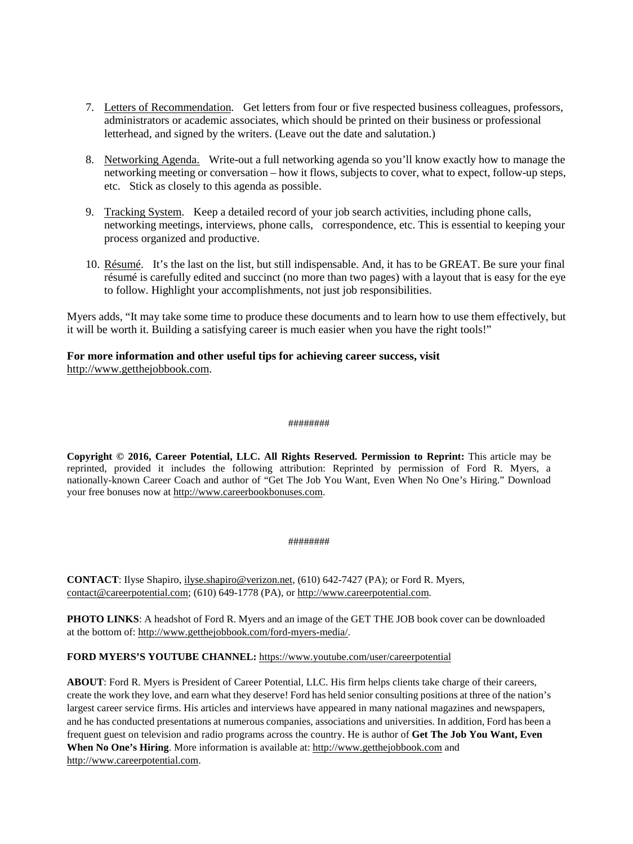- 7. Letters of Recommendation. Get letters from four or five respected business colleagues, professors, administrators or academic associates, which should be printed on their business or professional letterhead, and signed by the writers. (Leave out the date and salutation.)
- 8. Networking Agenda. Write-out a full networking agenda so you'll know exactly how to manage the networking meeting or conversation – how it flows, subjects to cover, what to expect, follow-up steps, etc. Stick as closely to this agenda as possible.
- 9. Tracking System. Keep a detailed record of your job search activities, including phone calls, networking meetings, interviews, phone calls, correspondence, etc. This is essential to keeping your process organized and productive.
- 10. Résumé. It's the last on the list, but still indispensable. And, it has to be GREAT. Be sure your final résumé is carefully edited and succinct (no more than two pages) with a layout that is easy for the eye to follow. Highlight your accomplishments, not just job responsibilities.

Myers adds, "It may take some time to produce these documents and to learn how to use them effectively, but it will be worth it. Building a satisfying career is much easier when you have the right tools!"

## **For more information and other useful tips for achieving career success, visit** [http://www.getthejobbook.com.](http://www.getthejobbook.com/)

#### ########

**Copyright © 2016, Career Potential, LLC. All Rights Reserved. Permission to Reprint:** This article may be reprinted, provided it includes the following attribution: Reprinted by permission of Ford R. Myers, a nationally-known Career Coach and author of "Get The Job You Want, Even When No One's Hiring." Download your free bonuses now at [http://www.careerbookbonuses.com.](http://www.careerbookbonuses.com/)

#### ########

**CONTACT**: Ilyse Shapiro, [ilyse.shapiro@verizon.net,](mailto:ilyse.shapiro@verizon.net) (610) 642-7427 (PA); or Ford R. Myers, [contact@careerpotential.com;](mailto:contact@careerpotential.com) (610) 649-1778 (PA), o[r http://www.careerpotential.com.](http://www.careerpotential.com/)

**PHOTO LINKS**: A headshot of Ford R. Myers and an image of the GET THE JOB book cover can be downloaded at the bottom of[: http://www.getthejobbook.com/ford-myers-media/.](http://www.getthejobbook.com/ford-myers-media/) 

### **FORD MYERS'S YOUTUBE CHANNEL:** <https://www.youtube.com/user/careerpotential>

**ABOUT**: Ford R. Myers is President of Career Potential, LLC. His firm helps clients take charge of their careers, create the work they love, and earn what they deserve! Ford has held senior consulting positions at three of the nation's largest career service firms. His articles and interviews have appeared in many national magazines and newspapers, and he has conducted presentations at numerous companies, associations and universities. In addition, Ford has been a frequent guest on television and radio programs across the country. He is author of **Get The Job You Want, Even When No One's Hiring**. More information is available at[: http://www.getthejobbook.com](http://www.getthejobbook.com/) and [http://www.careerpotential.com.](http://www.careerpotential.com/)